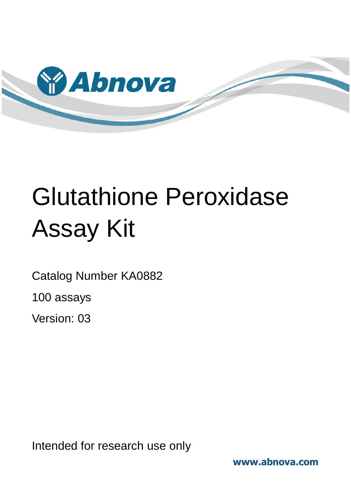

# Glutathione Peroxidase Assay Kit

Catalog Number KA0882

100 assays

Version: 03

Intended for research use only

**www.abnova.com**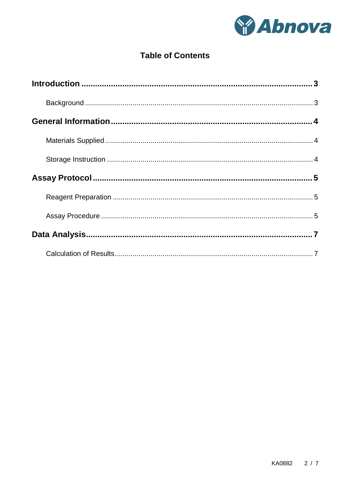

# **Table of Contents**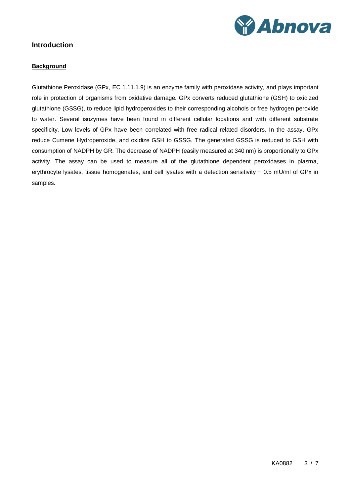

# <span id="page-2-1"></span><span id="page-2-0"></span>**Introduction**

#### **Background**

Glutathione Peroxidase (GPx, EC 1.11.1.9) is an enzyme family with peroxidase activity, and plays important role in protection of organisms from oxidative damage. GPx converts reduced glutathione (GSH) to oxidized glutathione (GSSG), to reduce lipid hydroperoxides to their corresponding alcohols or free hydrogen peroxide to water. Several isozymes have been found in different cellular locations and with different substrate specificity. Low levels of GPx have been correlated with free radical related disorders. In the assay, GPx reduce Cumene Hydroperoxide, and oxidize GSH to GSSG. The generated GSSG is reduced to GSH with consumption of NADPH by GR. The decrease of NADPH (easily measured at 340 nm) is proportionally to GPx activity. The assay can be used to measure all of the glutathione dependent peroxidases in plasma, erythrocyte lysates, tissue homogenates, and cell lysates with a detection sensitivity  $\sim 0.5$  mU/ml of GPx in samples.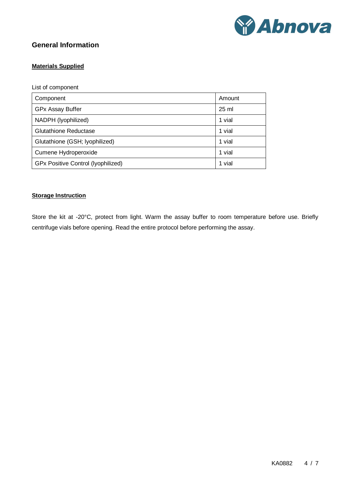

# <span id="page-3-1"></span><span id="page-3-0"></span>**General Information**

### **Materials Supplied**

List of component

| Component                                 | Amount          |
|-------------------------------------------|-----------------|
| <b>GPx Assay Buffer</b>                   | $25 \text{ ml}$ |
| NADPH (lyophilized)                       | 1 vial          |
| <b>Glutathione Reductase</b>              | 1 vial          |
| Glutathione (GSH; lyophilized)            | 1 vial          |
| Cumene Hydroperoxide                      | 1 vial          |
| <b>GPx Positive Control (Iyophilized)</b> | 1 vial          |

#### <span id="page-3-2"></span>**Storage Instruction**

Store the kit at -20°C, protect from light. Warm the assay buffer to room temperature before use. Briefly centrifuge vials before opening. Read the entire protocol before performing the assay.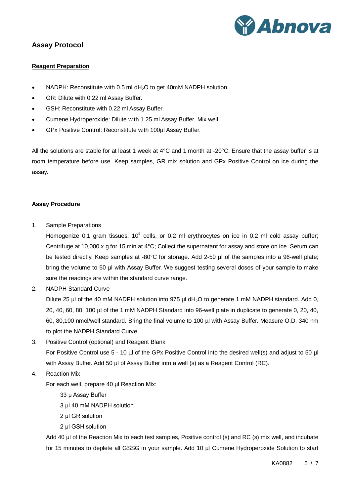

# <span id="page-4-1"></span><span id="page-4-0"></span>**Assay Protocol**

#### **Reagent Preparation**

- NADPH: Reconstitute with 0.5 ml dH<sub>2</sub>O to get 40mM NADPH solution.
- GR: Dilute with 0.22 ml Assay Buffer.
- GSH: Reconstitute with 0.22 ml Assay Buffer.
- Cumene Hydroperoxide: Dilute with 1.25 ml Assay Buffer. Mix well.
- GPx Positive Control: Reconstitute with 100µl Assay Buffer.

All the solutions are stable for at least 1 week at  $4^{\circ}$ C and 1 month at -20 $^{\circ}$ C. Ensure that the assay buffer is at room temperature before use. Keep samples, GR mix solution and GPx Positive Control on ice during the assay.

#### <span id="page-4-2"></span>**Assay Procedure**

1. Sample Preparations

Homogenize 0.1 gram tissues,  $10^6$  cells, or 0.2 ml erythrocytes on ice in 0.2 ml cold assay buffer; Centrifuge at 10,000 x g for 15 min at 4°C; Collect the supernatant for assay and store on ice. Serum can be tested directly. Keep samples at -80°C for storage. Add 2-50 μl of the samples into a 96-well plate; bring the volume to 50 μl with Assay Buffer. We suggest testing several doses of your sample to make sure the readings are within the standard curve range.

2. NADPH Standard Curve

Dilute 25 µl of the 40 mM NADPH solution into 975 µl dH<sub>2</sub>O to generate 1 mM NADPH standard. Add 0, 20, 40, 60, 80, 100 µl of the 1 mM NADPH Standard into 96-well plate in duplicate to generate 0, 20, 40, 60, 80,100 nmol/well standard. Bring the final volume to 100 µl with Assay Buffer. Measure O.D. 340 nm to plot the NADPH Standard Curve.

3. Positive Control (optional) and Reagent Blank

For Positive Control use 5 - 10 µl of the GPx Positive Control into the desired well(s) and adjust to 50 µl with Assay Buffer. Add 50 µl of Assay Buffer into a well (s) as a Reagent Control (RC).

4. Reaction Mix

For each well, prepare 40 μl Reaction Mix:

- 33 μ Assay Buffer
- 3 μl 40 mM NADPH solution
- 2 μl GR solution
- 2 μl GSH solution

Add 40 μl of the Reaction Mix to each test samples, Positive control (s) and RC (s) mix well, and incubate for 15 minutes to deplete all GSSG in your sample. Add 10 µl Cumene Hydroperoxide Solution to start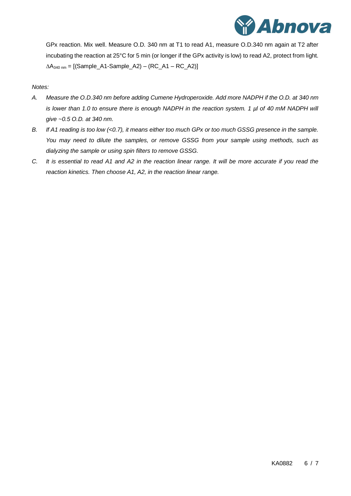

GPx reaction. Mix well. Measure O.D. 340 nm at T1 to read A1, measure O.D.340 nm again at T2 after incubating the reaction at 25°C for 5 min (or longer if the GPx activity is low) to read A2, protect from light.  $\Delta A_{340 \text{ nm}} =$  [(Sample\_A1-Sample\_A2) – (RC\_A1 – RC\_A2)]

#### *Notes:*

- *A. Measure the O.D.340 nm before adding Cumene Hydroperoxide. Add more NADPH if the O.D. at 340 nm is lower than 1.0 to ensure there is enough NADPH in the reaction system. 1 µl of 40 mM NADPH will give ~0.5 O.D. at 340 nm.*
- *B. If A1 reading is too low (<0.7), it means either too much GPx or too much GSSG presence in the sample. You may need to dilute the samples, or remove GSSG from your sample using methods, such as dialyzing the sample or using spin filters to remove GSSG.*
- *C. It is essential to read A1 and A2 in the reaction linear range. It will be more accurate if you read the reaction kinetics. Then choose A1, A2, in the reaction linear range.*